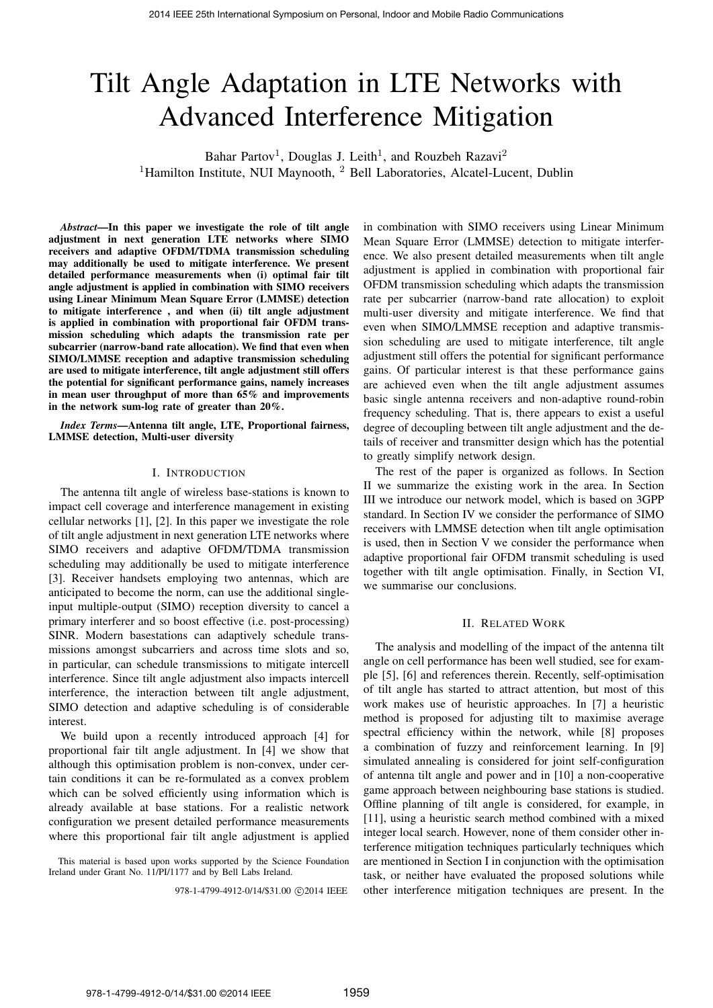# Tilt Angle Adaptation in LTE Networks with Advanced Interference Mitigation

Bahar Partov<sup>1</sup>, Douglas J. Leith<sup>1</sup>, and Rouzbeh Razavi<sup>2</sup> <sup>1</sup>Hamilton Institute, NUI Maynooth,  $2$  Bell Laboratories, Alcatel-Lucent, Dublin

*Abstract*—In this paper we investigate the role of tilt angle adjustment in next generation LTE networks where SIMO receivers and adaptive OFDM/TDMA transmission scheduling may additionally be used to mitigate interference. We present detailed performance measurements when (i) optimal fair tilt angle adjustment is applied in combination with SIMO receivers using Linear Minimum Mean Square Error (LMMSE) detection to mitigate interference , and when (ii) tilt angle adjustment is applied in combination with proportional fair OFDM transmission scheduling which adapts the transmission rate per subcarrier (narrow-band rate allocation). We find that even when SIMO/LMMSE reception and adaptive transmission scheduling are used to mitigate interference, tilt angle adjustment still offers the potential for significant performance gains, namely increases in mean user throughput of more than 65% and improvements in the network sum-log rate of greater than 20%.

*Index Terms*—Antenna tilt angle, LTE, Proportional fairness, LMMSE detection, Multi-user diversity

#### I. INTRODUCTION

The antenna tilt angle of wireless base-stations is known to impact cell coverage and interference management in existing cellular networks [1], [2]. In this paper we investigate the role of tilt angle adjustment in next generation LTE networks where SIMO receivers and adaptive OFDM/TDMA transmission scheduling may additionally be used to mitigate interference [3]. Receiver handsets employing two antennas, which are anticipated to become the norm, can use the additional singleinput multiple-output (SIMO) reception diversity to cancel a primary interferer and so boost effective (i.e. post-processing) SINR. Modern basestations can adaptively schedule transmissions amongst subcarriers and across time slots and so, in particular, can schedule transmissions to mitigate intercell interference. Since tilt angle adjustment also impacts intercell interference, the interaction between tilt angle adjustment, SIMO detection and adaptive scheduling is of considerable interest.

We build upon a recently introduced approach [4] for proportional fair tilt angle adjustment. In [4] we show that although this optimisation problem is non-convex, under certain conditions it can be re-formulated as a convex problem which can be solved efficiently using information which is already available at base stations. For a realistic network configuration we present detailed performance measurements where this proportional fair tilt angle adjustment is applied

This material is based upon works supported by the Science Foundation Ireland under Grant No. 11/PI/1177 and by Bell Labs Ireland.

in combination with SIMO receivers using Linear Minimum Mean Square Error (LMMSE) detection to mitigate interference. We also present detailed measurements when tilt angle adjustment is applied in combination with proportional fair OFDM transmission scheduling which adapts the transmission rate per subcarrier (narrow-band rate allocation) to exploit multi-user diversity and mitigate interference. We find that even when SIMO/LMMSE reception and adaptive transmission scheduling are used to mitigate interference, tilt angle adjustment still offers the potential for significant performance gains. Of particular interest is that these performance gains are achieved even when the tilt angle adjustment assumes basic single antenna receivers and non-adaptive round-robin frequency scheduling. That is, there appears to exist a useful degree of decoupling between tilt angle adjustment and the details of receiver and transmitter design which has the potential to greatly simplify network design.

The rest of the paper is organized as follows. In Section II we summarize the existing work in the area. In Section III we introduce our network model, which is based on 3GPP standard. In Section IV we consider the performance of SIMO receivers with LMMSE detection when tilt angle optimisation is used, then in Section V we consider the performance when adaptive proportional fair OFDM transmit scheduling is used together with tilt angle optimisation. Finally, in Section VI, we summarise our conclusions.

#### II. RELATED WORK

The analysis and modelling of the impact of the antenna tilt angle on cell performance has been well studied, see for example [5], [6] and references therein. Recently, self-optimisation of tilt angle has started to attract attention, but most of this work makes use of heuristic approaches. In [7] a heuristic method is proposed for adjusting tilt to maximise average spectral efficiency within the network, while [8] proposes a combination of fuzzy and reinforcement learning. In [9] simulated annealing is considered for joint self-configuration of antenna tilt angle and power and in [10] a non-cooperative game approach between neighbouring base stations is studied. Offline planning of tilt angle is considered, for example, in [11], using a heuristic search method combined with a mixed integer local search. However, none of them consider other interference mitigation techniques particularly techniques which are mentioned in Section I in conjunction with the optimisation task, or neither have evaluated the proposed solutions while 978-1-4799-4912-0/14/\$31.00 ©2014 IEEE other interference mitigation techniques are present. In the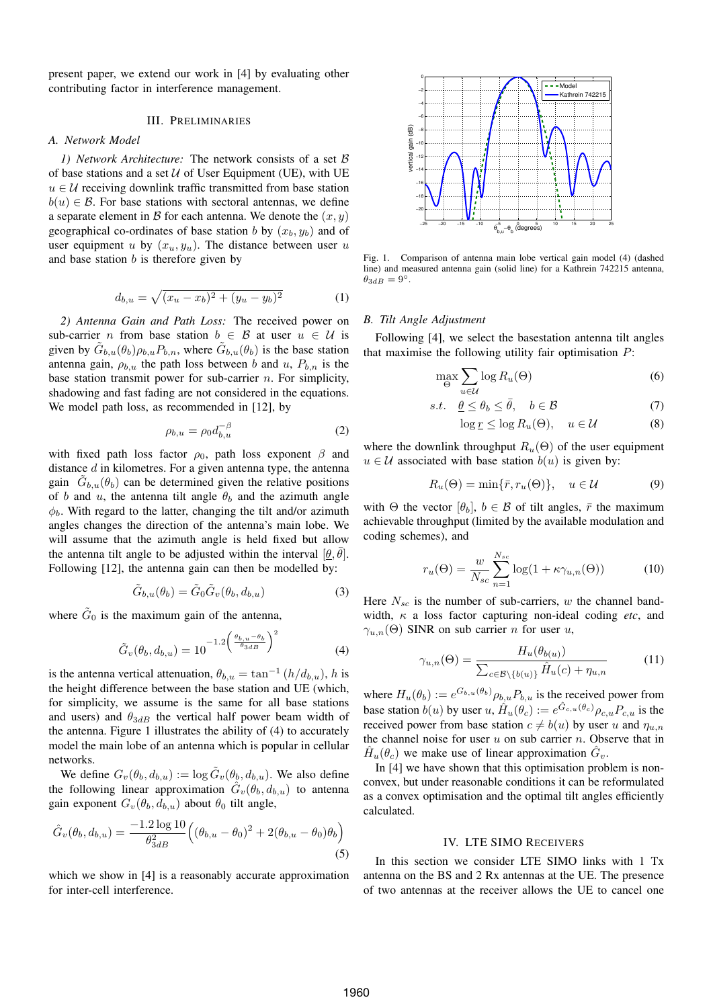present paper, we extend our work in [4] by evaluating other contributing factor in interference management.

#### III. PRELIMINARIES

# *A. Network Model*

*1) Network Architecture:* The network consists of a set B of base stations and a set  $U$  of User Equipment (UE), with UE  $u \in \mathcal{U}$  receiving downlink traffic transmitted from base station  $b(u) \in \mathcal{B}$ . For base stations with sectoral antennas, we define a separate element in B for each antenna. We denote the  $(x, y)$ geographical co-ordinates of base station b by  $(x_b, y_b)$  and of user equipment u by  $(x_u, y_u)$ . The distance between user u and base station  $b$  is therefore given by

$$
d_{b,u} = \sqrt{(x_u - x_b)^2 + (y_u - y_b)^2}
$$
 (1)

*2) Antenna Gain and Path Loss:* The received power on sub-carrier n from base station  $b \in \mathcal{B}$  at user  $u \in \mathcal{U}$  is given by  $\tilde{G}_{b,u}(\theta_b) \rho_{b,u} P_{b,n}$ , where  $\tilde{G}_{b,u}(\theta_b)$  is the base station antenna gain,  $\rho_{b,u}$  the path loss between b and u,  $P_{b,n}$  is the base station transmit power for sub-carrier  $n$ . For simplicity, shadowing and fast fading are not considered in the equations. We model path loss, as recommended in [12], by

$$
\rho_{b,u} = \rho_0 d_{b,u}^{-\beta} \tag{2}
$$

with fixed path loss factor  $\rho_0$ , path loss exponent  $\beta$  and distance d in kilometres. For a given antenna type, the antenna gain  $\tilde{G}_{b,u}(\theta_b)$  can be determined given the relative positions of b and u, the antenna tilt angle  $\theta_b$  and the azimuth angle  $\phi_b$ . With regard to the latter, changing the tilt and/or azimuth angles changes the direction of the antenna's main lobe. We will assume that the azimuth angle is held fixed but allow the antenna tilt angle to be adjusted within the interval  $[\underline{\theta}, \overline{\theta}]$ . Following [12], the antenna gain can then be modelled by:

$$
\tilde{G}_{b,u}(\theta_b) = \tilde{G}_0 \tilde{G}_v(\theta_b, d_{b,u})
$$
\n(3)

where  $\tilde{G}_0$  is the maximum gain of the antenna,

$$
\tilde{G}_{v}(\theta_{b}, d_{b,u}) = 10^{-1.2 \left( \frac{\theta_{b,u} - \theta_{b}}{\theta_{3dB}} \right)^2}
$$
\n(4)

is the antenna vertical attenuation,  $\theta_{b,u} = \tan^{-1}(h/d_{b,u}), h$  is the height difference between the base station and UE (which, for simplicity, we assume is the same for all base stations and users) and  $\theta_{3dB}$  the vertical half power beam width of the antenna. Figure 1 illustrates the ability of (4) to accurately model the main lobe of an antenna which is popular in cellular networks.

We define  $G_v(\theta_b, d_{b,u}) := \log \tilde{G}_v(\theta_b, d_{b,u})$ . We also define the following linear approximation  $\hat{G}_v(\theta_b, d_{b,u})$  to antenna gain exponent  $G_v(\theta_b, d_{b,u})$  about  $\theta_0$  tilt angle,

$$
\hat{G}_v(\theta_b, d_{b,u}) = \frac{-1.2 \log 10}{\theta_{3dB}^2} \Big( (\theta_{b,u} - \theta_0)^2 + 2(\theta_{b,u} - \theta_0)\theta_b \Big) \tag{5}
$$

which we show in [4] is a reasonably accurate approximation for inter-cell interference.



Fig. 1. Comparison of antenna main lobe vertical gain model (4) (dashed line) and measured antenna gain (solid line) for a Kathrein 742215 antenna,  $\theta_{3dB} = 9^{\circ}.$ 

# *B. Tilt Angle Adjustment*

Following [4], we select the basestation antenna tilt angles that maximise the following utility fair optimisation  $P$ :

$$
\max_{\Theta} \sum_{u \in \mathcal{U}} \log R_u(\Theta) \tag{6}
$$

$$
s.t. \quad \underline{\theta} \le \theta_b \le \bar{\theta}, \quad b \in \mathcal{B} \tag{7}
$$

$$
\log \underline{r} \le \log R_u(\Theta), \quad u \in \mathcal{U} \tag{8}
$$

where the downlink throughput  $R_u(\Theta)$  of the user equipment  $u \in \mathcal{U}$  associated with base station  $b(u)$  is given by:

$$
R_u(\Theta) = \min\{\bar{r}, r_u(\Theta)\}, \quad u \in \mathcal{U}
$$
 (9)

with  $\Theta$  the vector  $[\theta_h]$ ,  $b \in \mathcal{B}$  of tilt angles,  $\bar{r}$  the maximum achievable throughput (limited by the available modulation and coding schemes), and

$$
r_u(\Theta) = \frac{w}{N_{sc}} \sum_{n=1}^{N_{sc}} \log(1 + \kappa \gamma_{u,n}(\Theta))
$$
 (10)

Here  $N_{sc}$  is the number of sub-carriers, w the channel bandwidth, κ a loss factor capturing non-ideal coding *etc*, and  $\gamma_{u,n}(\Theta)$  SINR on sub carrier *n* for user *u*,

$$
\gamma_{u,n}(\Theta) = \frac{H_u(\theta_{b(u)})}{\sum_{c \in \mathcal{B} \setminus \{b(u)\}} \hat{H}_u(c) + \eta_{u,n}} \tag{11}
$$

where  $H_u(\theta_b) := e^{G_{b,u}(\theta_b)} \rho_{b,u} P_{b,u}$  is the received power from base station  $b(u)$  by user  $u$ ,  $\hat{H}_u(\theta_c) := e^{\hat{G}_{c,u}(\theta_c)} \rho_{c,u} P_{c,u}$  is the received power from base station  $c \neq b(u)$  by user u and  $\eta_{u,n}$ the channel noise for user  $u$  on sub carrier  $n$ . Observe that in  $\hat{H}_u(\theta_c)$  we make use of linear approximation  $\hat{G}_v$ .

In [4] we have shown that this optimisation problem is nonconvex, but under reasonable conditions it can be reformulated as a convex optimisation and the optimal tilt angles efficiently calculated.

#### IV. LTE SIMO RECEIVERS

In this section we consider LTE SIMO links with 1 Tx antenna on the BS and 2 Rx antennas at the UE. The presence of two antennas at the receiver allows the UE to cancel one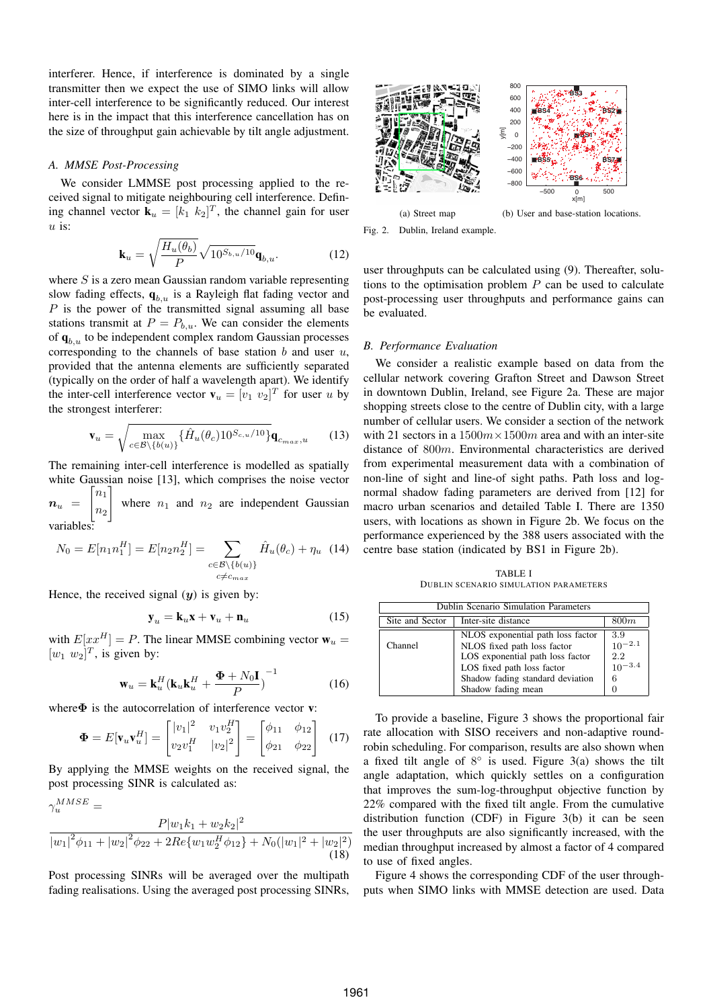interferer. Hence, if interference is dominated by a single transmitter then we expect the use of SIMO links will allow inter-cell interference to be significantly reduced. Our interest here is in the impact that this interference cancellation has on the size of throughput gain achievable by tilt angle adjustment.

# *A. MMSE Post-Processing*

We consider LMMSE post processing applied to the received signal to mitigate neighbouring cell interference. Defining channel vector  $\mathbf{k}_u = [k_1 \; k_2]^T$ , the channel gain for user  $u$  is:

$$
\mathbf{k}_{u} = \sqrt{\frac{H_{u}(\theta_{b})}{P}} \sqrt{10^{S_{b,u}/10}} \mathbf{q}_{b,u}.
$$
 (12)

where  $S$  is a zero mean Gaussian random variable representing slow fading effects,  $q_{b,u}$  is a Rayleigh flat fading vector and  $P$  is the power of the transmitted signal assuming all base stations transmit at  $P = P_{b,u}$ . We can consider the elements of  $q_{b,u}$  to be independent complex random Gaussian processes corresponding to the channels of base station  $b$  and user  $u$ , provided that the antenna elements are sufficiently separated (typically on the order of half a wavelength apart). We identify the inter-cell interference vector  $\mathbf{v}_u = [v_1 \; v_2]^T$  for user u by the strongest interferer:

$$
\mathbf{v}_{u} = \sqrt{\max_{c \in \mathcal{B} \setminus \{b(u)\}} \{ \hat{H}_{u}(\theta_{c}) 10^{S_{c,u}/10} \}} \mathbf{q}_{c_{max},u} \qquad (13)
$$

The remaining inter-cell interference is modelled as spatially white Gaussian noise [13], which comprises the noise vector  $n_u$  =  $\lceil n_1 \rceil$  $n<sub>2</sub>$ 1 where  $n_1$  and  $n_2$  are independent Gaussian variables:

$$
N_0 = E[n_1 n_1^H] = E[n_2 n_2^H] = \sum_{\substack{c \in \mathcal{B} \setminus \{b(u)\} \\ c \neq c_{max}}} \hat{H}_u(\theta_c) + \eta_u \tag{14}
$$

Hence, the received signal  $(y)$  is given by:

$$
\mathbf{y}_u = \mathbf{k}_u \mathbf{x} + \mathbf{v}_u + \mathbf{n}_u \tag{15}
$$

with  $E[xx^H] = P$ . The linear MMSE combining vector  $w_u$  =  $[w_1 \ w_2]^T$ , is given by:

$$
\mathbf{w}_u = \mathbf{k}_u^H (\mathbf{k}_u \mathbf{k}_u^H + \frac{\mathbf{\Phi} + N_0 \mathbf{I}}{P})^{-1}
$$
 (16)

where $\Phi$  is the autocorrelation of interference vector v:

$$
\mathbf{\Phi} = E[\mathbf{v}_u \mathbf{v}_u^H] = \begin{bmatrix} |v_1|^2 & v_1 v_2^H \\ v_2 v_1^H & |v_2|^2 \end{bmatrix} = \begin{bmatrix} \phi_{11} & \phi_{12} \\ \phi_{21} & \phi_{22} \end{bmatrix} \tag{17}
$$

By applying the MMSE weights on the received signal, the post processing SINR is calculated as:

$$
\gamma_u^{MMSE} =
$$
\n
$$
\frac{P|w_1k_1 + w_2k_2|^2}{|w_1|^2 \phi_{11} + |w_2|^2 \phi_{22} + 2Re\{w_1w_2^H \phi_{12}\} + N_0(|w_1|^2 + |w_2|^2)}
$$
\n(18)

Post processing SINRs will be averaged over the multipath fading realisations. Using the averaged post processing SINRs,



Fig. 2. Dublin, Ireland example.

user throughputs can be calculated using (9). Thereafter, solutions to the optimisation problem  $P$  can be used to calculate post-processing user throughputs and performance gains can be evaluated.

# *B. Performance Evaluation*

We consider a realistic example based on data from the cellular network covering Grafton Street and Dawson Street in downtown Dublin, Ireland, see Figure 2a. These are major shopping streets close to the centre of Dublin city, with a large number of cellular users. We consider a section of the network with 21 sectors in a  $1500m \times 1500m$  area and with an inter-site distance of 800m. Environmental characteristics are derived from experimental measurement data with a combination of non-line of sight and line-of sight paths. Path loss and lognormal shadow fading parameters are derived from [12] for macro urban scenarios and detailed Table I. There are 1350 users, with locations as shown in Figure 2b. We focus on the performance experienced by the 388 users associated with the centre base station (indicated by BS1 in Figure 2b).

TABLE I DUBLIN SCENARIO SIMULATION PARAMETERS

| <b>Dublin Scenario Simulation Parameters</b> |                                   |             |  |
|----------------------------------------------|-----------------------------------|-------------|--|
| Site and Sector                              | Inter-site distance               | 800m        |  |
|                                              | NLOS exponential path loss factor | 3.9         |  |
| Channel                                      | NLOS fixed path loss factor       | $10^{-2.1}$ |  |
|                                              | LOS exponential path loss factor  | 2.2         |  |
|                                              | LOS fixed path loss factor        | $10^{-3.4}$ |  |
|                                              | Shadow fading standard deviation  | 6           |  |
|                                              | Shadow fading mean                |             |  |

To provide a baseline, Figure 3 shows the proportional fair rate allocation with SISO receivers and non-adaptive roundrobin scheduling. For comparison, results are also shown when a fixed tilt angle of  $8^\circ$  is used. Figure 3(a) shows the tilt angle adaptation, which quickly settles on a configuration that improves the sum-log-throughput objective function by 22% compared with the fixed tilt angle. From the cumulative distribution function (CDF) in Figure 3(b) it can be seen the user throughputs are also significantly increased, with the median throughput increased by almost a factor of 4 compared to use of fixed angles.

Figure 4 shows the corresponding CDF of the user throughputs when SIMO links with MMSE detection are used. Data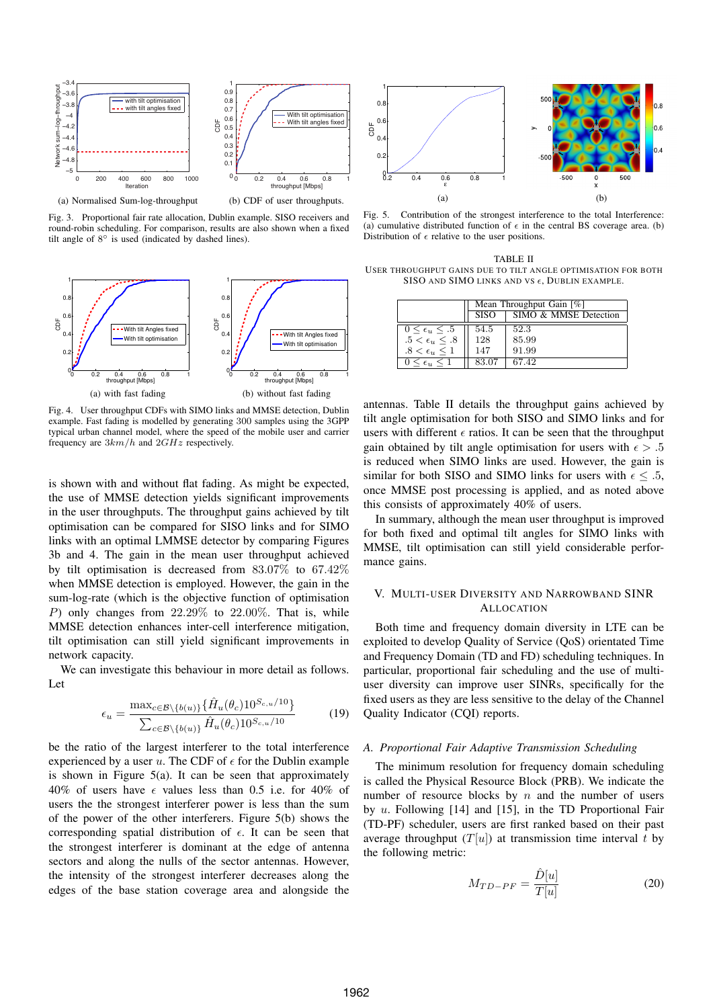

(a) Normalised Sum-log-throughput

(b) CDF of user throughputs.

Fig. 3. Proportional fair rate allocation, Dublin example. SISO receivers and round-robin scheduling. For comparison, results are also shown when a fixed tilt angle of 8° is used (indicated by dashed lines).



Fig. 4. User throughput CDFs with SIMO links and MMSE detection, Dublin example. Fast fading is modelled by generating 300 samples using the 3GPP typical urban channel model, where the speed of the mobile user and carrier frequency are  $3km/h$  and  $2GHz$  respectively.

is shown with and without flat fading. As might be expected, the use of MMSE detection yields significant improvements in the user throughputs. The throughput gains achieved by tilt optimisation can be compared for SISO links and for SIMO links with an optimal LMMSE detector by comparing Figures 3b and 4. The gain in the mean user throughput achieved by tilt optimisation is decreased from 83.07% to 67.42% when MMSE detection is employed. However, the gain in the sum-log-rate (which is the objective function of optimisation P) only changes from 22.29% to 22.00%. That is, while MMSE detection enhances inter-cell interference mitigation, tilt optimisation can still yield significant improvements in network capacity.

We can investigate this behaviour in more detail as follows. Let

$$
\epsilon_u = \frac{\max_{c \in \mathcal{B} \setminus \{b(u)\}} \{ \hat{H}_u(\theta_c) 10^{S_{c,u}/10} \}}{\sum_{c \in \mathcal{B} \setminus \{b(u)\}} \hat{H}_u(\theta_c) 10^{S_{c,u}/10}} \tag{19}
$$

be the ratio of the largest interferer to the total interference experienced by a user u. The CDF of  $\epsilon$  for the Dublin example is shown in Figure  $5(a)$ . It can be seen that approximately 40% of users have  $\epsilon$  values less than 0.5 i.e. for 40% of users the the strongest interferer power is less than the sum of the power of the other interferers. Figure 5(b) shows the corresponding spatial distribution of  $\epsilon$ . It can be seen that the strongest interferer is dominant at the edge of antenna sectors and along the nulls of the sector antennas. However, the intensity of the strongest interferer decreases along the edges of the base station coverage area and alongside the



Fig. 5. Contribution of the strongest interference to the total Interference: (a) cumulative distributed function of  $\epsilon$  in the central BS coverage area. (b) Distribution of  $\epsilon$  relative to the user positions.

TABLE II USER THROUGHPUT GAINS DUE TO TILT ANGLE OPTIMISATION FOR BOTH SISO AND SIMO LINKS AND VS  $\epsilon$ , DUBLIN EXAMPLE.

|                             | Mean Throughput Gain [%] |                       |
|-----------------------------|--------------------------|-----------------------|
|                             | <b>SISO</b>              | SIMO & MMSE Detection |
| $0 \leq \epsilon_u \leq .5$ | 54.5                     | 52.3                  |
| $.5 < \epsilon_u \leq .8$   | 128                      | 85.99                 |
| $.8 < \epsilon_u < 1$       | 147                      | 91.99                 |
| $0 \leq \epsilon_u \leq 1$  | 83.07                    | 67.42                 |

antennas. Table II details the throughput gains achieved by tilt angle optimisation for both SISO and SIMO links and for users with different  $\epsilon$  ratios. It can be seen that the throughput gain obtained by tilt angle optimisation for users with  $\epsilon > .5$ is reduced when SIMO links are used. However, the gain is similar for both SISO and SIMO links for users with  $\epsilon \leq .5$ , once MMSE post processing is applied, and as noted above this consists of approximately 40% of users.

In summary, although the mean user throughput is improved for both fixed and optimal tilt angles for SIMO links with MMSE, tilt optimisation can still yield considerable performance gains.

# V. MULTI-USER DIVERSITY AND NARROWBAND SINR ALLOCATION

Both time and frequency domain diversity in LTE can be exploited to develop Quality of Service (QoS) orientated Time and Frequency Domain (TD and FD) scheduling techniques. In particular, proportional fair scheduling and the use of multiuser diversity can improve user SINRs, specifically for the fixed users as they are less sensitive to the delay of the Channel Quality Indicator (CQI) reports.

#### *A. Proportional Fair Adaptive Transmission Scheduling*

The minimum resolution for frequency domain scheduling is called the Physical Resource Block (PRB). We indicate the number of resource blocks by  $n$  and the number of users by  $u$ . Following [14] and [15], in the TD Proportional Fair (TD-PF) scheduler, users are first ranked based on their past average throughput  $(T[u])$  at transmission time interval t by the following metric:

$$
M_{TD-PF} = \frac{\hat{D}[u]}{T[u]} \tag{20}
$$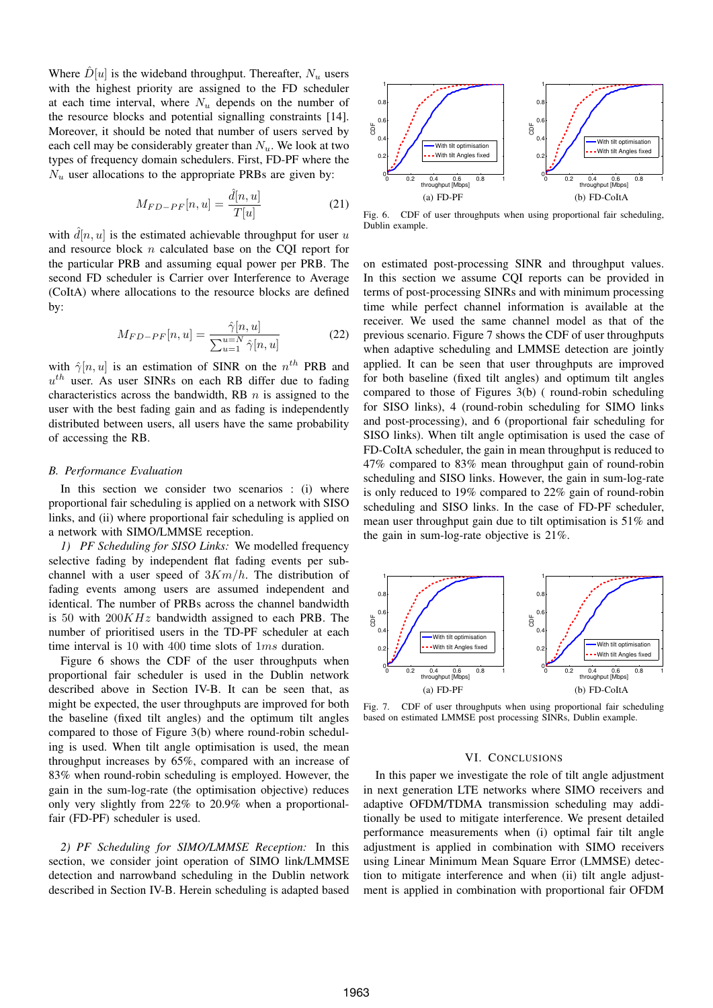Where  $\hat{D}[u]$  is the wideband throughput. Thereafter,  $N_u$  users with the highest priority are assigned to the FD scheduler at each time interval, where  $N_u$  depends on the number of the resource blocks and potential signalling constraints [14]. Moreover, it should be noted that number of users served by each cell may be considerably greater than  $N_u$ . We look at two types of frequency domain schedulers. First, FD-PF where the  $N_u$  user allocations to the appropriate PRBs are given by:

$$
M_{FD-PF}[n, u] = \frac{\hat{d}[n, u]}{T[u]} \tag{21}
$$

with  $d[n, u]$  is the estimated achievable throughput for user u and resource block n calculated base on the CQI report for the particular PRB and assuming equal power per PRB. The second FD scheduler is Carrier over Interference to Average (CoItA) where allocations to the resource blocks are defined by:

$$
M_{FD-PF}[n,u] = \frac{\hat{\gamma}[n,u]}{\sum_{u=1}^{u=N} \hat{\gamma}[n,u]}
$$
(22)

with  $\hat{\gamma}[n, u]$  is an estimation of SINR on the  $n^{th}$  PRB and  $u^{th}$  user. As user SINRs on each RB differ due to fading characteristics across the bandwidth, RB  $n$  is assigned to the user with the best fading gain and as fading is independently distributed between users, all users have the same probability of accessing the RB.

# *B. Performance Evaluation*

In this section we consider two scenarios : (i) where proportional fair scheduling is applied on a network with SISO links, and (ii) where proportional fair scheduling is applied on a network with SIMO/LMMSE reception.

*1) PF Scheduling for SISO Links:* We modelled frequency selective fading by independent flat fading events per subchannel with a user speed of  $3Km/h$ . The distribution of fading events among users are assumed independent and identical. The number of PRBs across the channel bandwidth is 50 with  $200KHz$  bandwidth assigned to each PRB. The number of prioritised users in the TD-PF scheduler at each time interval is 10 with 400 time slots of 1ms duration.

Figure 6 shows the CDF of the user throughputs when proportional fair scheduler is used in the Dublin network described above in Section IV-B. It can be seen that, as might be expected, the user throughputs are improved for both the baseline (fixed tilt angles) and the optimum tilt angles compared to those of Figure 3(b) where round-robin scheduling is used. When tilt angle optimisation is used, the mean throughput increases by 65%, compared with an increase of 83% when round-robin scheduling is employed. However, the gain in the sum-log-rate (the optimisation objective) reduces only very slightly from 22% to 20.9% when a proportionalfair (FD-PF) scheduler is used.

*2) PF Scheduling for SIMO/LMMSE Reception:* In this section, we consider joint operation of SIMO link/LMMSE detection and narrowband scheduling in the Dublin network described in Section IV-B. Herein scheduling is adapted based



Fig. 6. CDF of user throughputs when using proportional fair scheduling, Dublin example.

on estimated post-processing SINR and throughput values. In this section we assume CQI reports can be provided in terms of post-processing SINRs and with minimum processing time while perfect channel information is available at the receiver. We used the same channel model as that of the previous scenario. Figure 7 shows the CDF of user throughputs when adaptive scheduling and LMMSE detection are jointly applied. It can be seen that user throughputs are improved for both baseline (fixed tilt angles) and optimum tilt angles compared to those of Figures 3(b) ( round-robin scheduling for SISO links), 4 (round-robin scheduling for SIMO links and post-processing), and 6 (proportional fair scheduling for SISO links). When tilt angle optimisation is used the case of FD-CoItA scheduler, the gain in mean throughput is reduced to 47% compared to 83% mean throughput gain of round-robin scheduling and SISO links. However, the gain in sum-log-rate is only reduced to 19% compared to 22% gain of round-robin scheduling and SISO links. In the case of FD-PF scheduler, mean user throughput gain due to tilt optimisation is 51% and the gain in sum-log-rate objective is 21%.



Fig. 7. CDF of user throughputs when using proportional fair scheduling based on estimated LMMSE post processing SINRs, Dublin example.

### VI. CONCLUSIONS

In this paper we investigate the role of tilt angle adjustment in next generation LTE networks where SIMO receivers and adaptive OFDM/TDMA transmission scheduling may additionally be used to mitigate interference. We present detailed performance measurements when (i) optimal fair tilt angle adjustment is applied in combination with SIMO receivers using Linear Minimum Mean Square Error (LMMSE) detection to mitigate interference and when (ii) tilt angle adjustment is applied in combination with proportional fair OFDM